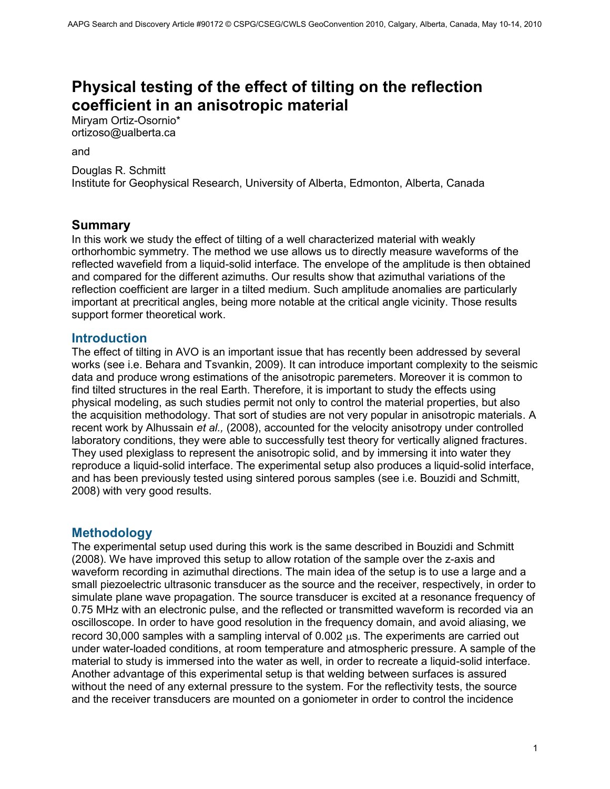# **Physical testing of the effect of tilting on the reflection coefficient in an anisotropic material**

Miryam Ortiz-Osornio\* ortizoso@ualberta.ca

#### and

Douglas R. Schmitt Institute for Geophysical Research, University of Alberta, Edmonton, Alberta, Canada

#### **Summary**

In this work we study the effect of tilting of a well characterized material with weakly orthorhombic symmetry. The method we use allows us to directly measure waveforms of the reflected wavefield from a liquid-solid interface. The envelope of the amplitude is then obtained and compared for the different azimuths. Our results show that azimuthal variations of the reflection coefficient are larger in a tilted medium. Such amplitude anomalies are particularly important at precritical angles, being more notable at the critical angle vicinity. Those results support former theoretical work.

#### **Introduction**

The effect of tilting in AVO is an important issue that has recently been addressed by several works (see i.e. Behara and Tsvankin, 2009). It can introduce important complexity to the seismic data and produce wrong estimations of the anisotropic paremeters. Moreover it is common to find tilted structures in the real Earth. Therefore, it is important to study the effects using physical modeling, as such studies permit not only to control the material properties, but also the acquisition methodology. That sort of studies are not very popular in anisotropic materials. A recent work by Alhussain *et al.,* (2008), accounted for the velocity anisotropy under controlled laboratory conditions, they were able to successfully test theory for vertically aligned fractures. They used plexiglass to represent the anisotropic solid, and by immersing it into water they reproduce a liquid-solid interface. The experimental setup also produces a liquid-solid interface, and has been previously tested using sintered porous samples (see i.e. Bouzidi and Schmitt, 2008) with very good results.

#### **Methodology**

The experimental setup used during this work is the same described in Bouzidi and Schmitt (2008). We have improved this setup to allow rotation of the sample over the z-axis and waveform recording in azimuthal directions. The main idea of the setup is to use a large and a small piezoelectric ultrasonic transducer as the source and the receiver, respectively, in order to simulate plane wave propagation. The source transducer is excited at a resonance frequency of 0.75 MHz with an electronic pulse, and the reflected or transmitted waveform is recorded via an oscilloscope. In order to have good resolution in the frequency domain, and avoid aliasing, we record  $30,000$  samples with a sampling interval of  $0.002 \mu s$ . The experiments are carried out under water-loaded conditions, at room temperature and atmospheric pressure. A sample of the material to study is immersed into the water as well, in order to recreate a liquid-solid interface. Another advantage of this experimental setup is that welding between surfaces is assured without the need of any external pressure to the system. For the reflectivity tests, the source and the receiver transducers are mounted on a goniometer in order to control the incidence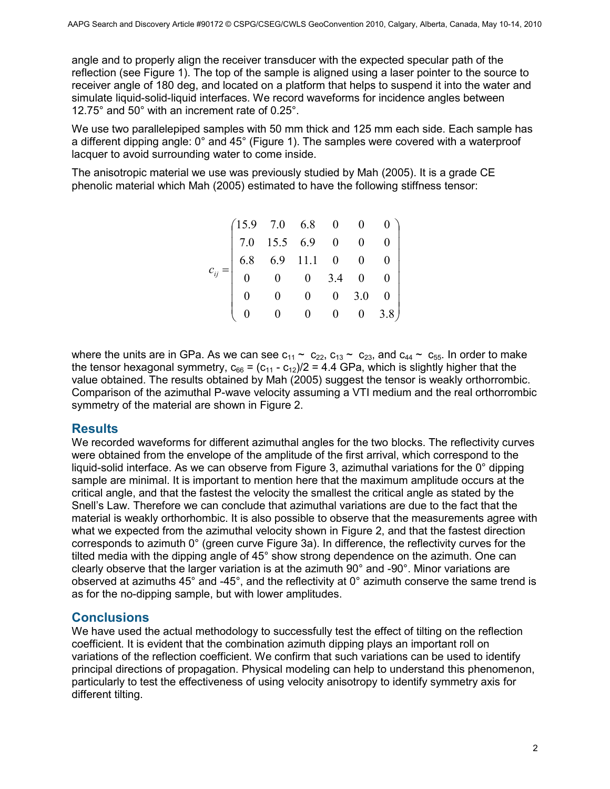angle and to properly align the receiver transducer with the expected specular path of the reflection (see Figure 1). The top of the sample is aligned using a laser pointer to the source to receiver angle of 180 deg, and located on a platform that helps to suspend it into the water and simulate liquid-solid-liquid interfaces. We record waveforms for incidence angles between 12.75° and 50° with an increment rate of 0.25°.

We use two parallelepiped samples with 50 mm thick and 125 mm each side. Each sample has a different dipping angle: 0° and 45° (Figure 1). The samples were covered with a waterproof lacquer to avoid surrounding water to come inside.

The anisotropic material we use was previously studied by Mah (2005). It is a grade CE phenolic material which Mah (2005) estimated to have the following stiffness tensor:

|  | $\begin{pmatrix} 15.9 & 7.0 & 6.8 & 0 & 0 & 0 \ 7.0 & 15.5 & 6.9 & 0 & 0 & 0 \ 6.8 & 6.9 & 11.1 & 0 & 0 & 0 \ 0 & 0 & 0 & 3.4 & 0 & 0 \ 0 & 0 & 0 & 0 & 3.0 & 0 \end{pmatrix}$ |                |  |      |
|--|--------------------------------------------------------------------------------------------------------------------------------------------------------------------------------|----------------|--|------|
|  |                                                                                                                                                                                |                |  |      |
|  |                                                                                                                                                                                | $\overline{0}$ |  | 3.8) |

where the units are in GPa. As we can see  $c_{11} \sim c_{22}$ ,  $c_{13} \sim c_{23}$ , and  $c_{44} \sim c_{55}$ . In order to make the tensor hexagonal symmetry,  $c_{66} = (c_{11} - c_{12})/2 = 4.4$  GPa, which is slightly higher that the value obtained. The results obtained by Mah (2005) suggest the tensor is weakly orthorrombic. Comparison of the azimuthal P-wave velocity assuming a VTI medium and the real orthorrombic symmetry of the material are shown in Figure 2.

#### **Results**

We recorded waveforms for different azimuthal angles for the two blocks. The reflectivity curves were obtained from the envelope of the amplitude of the first arrival, which correspond to the liquid-solid interface. As we can observe from Figure 3, azimuthal variations for the 0° dipping sample are minimal. It is important to mention here that the maximum amplitude occurs at the critical angle, and that the fastest the velocity the smallest the critical angle as stated by the Snell's Law. Therefore we can conclude that azimuthal variations are due to the fact that the material is weakly orthorhombic. It is also possible to observe that the measurements agree with what we expected from the azimuthal velocity shown in Figure 2, and that the fastest direction corresponds to azimuth 0° (green curve Figure 3a). In difference, the reflectivity curves for the tilted media with the dipping angle of 45° show strong dependence on the azimuth. One can clearly observe that the larger variation is at the azimuth 90° and -90°. Minor variations are observed at azimuths 45° and -45°, and the reflectivity at 0° azimuth conserve the same trend is as for the no-dipping sample, but with lower amplitudes.

#### **Conclusions**

We have used the actual methodology to successfully test the effect of tilting on the reflection coefficient. It is evident that the combination azimuth dipping plays an important roll on variations of the reflection coefficient. We confirm that such variations can be used to identify principal directions of propagation. Physical modeling can help to understand this phenomenon, particularly to test the effectiveness of using velocity anisotropy to identify symmetry axis for different tilting.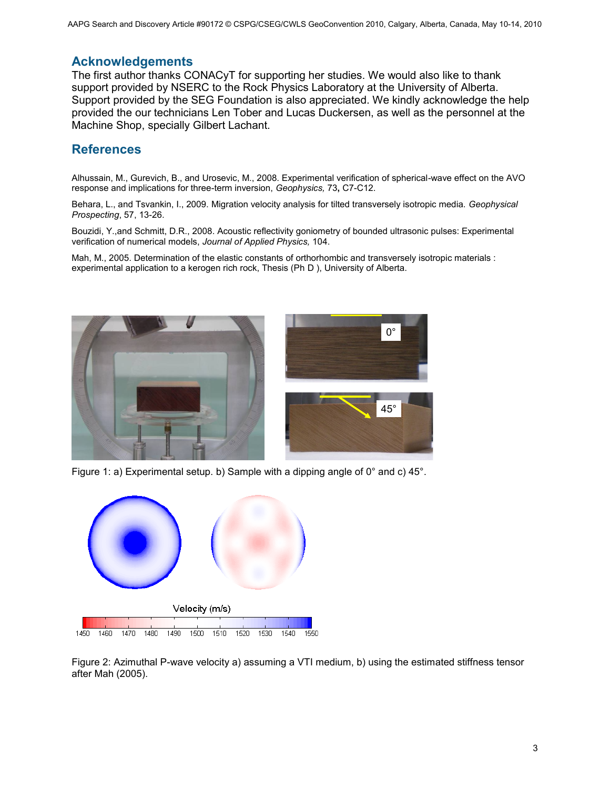## **Acknowledgements**

The first author thanks CONACyT for supporting her studies. We would also like to thank support provided by NSERC to the Rock Physics Laboratory at the University of Alberta. Support provided by the SEG Foundation is also appreciated. We kindly acknowledge the help provided the our technicians Len Tober and Lucas Duckersen, as well as the personnel at the Machine Shop, specially Gilbert Lachant.

## **References**

Alhussain, M., Gurevich, B., and Urosevic, M., 2008. Experimental verification of spherical-wave effect on the AVO response and implications for three-term inversion, *Geophysics,* 73**,** C7-C12.

Behara, L., and Tsvankin, I., 2009. Migration velocity analysis for tilted transversely isotropic media. *Geophysical Prospecting*, 57, 13-26.

Bouzidi, Y.,and Schmitt, D.R., 2008. Acoustic reflectivity goniometry of bounded ultrasonic pulses: Experimental verification of numerical models, *Journal of Applied Physics,* 104.

Mah, M., 2005. Determination of the elastic constants of orthorhombic and transversely isotropic materials : experimental application to a kerogen rich rock, Thesis (Ph D ), University of Alberta.



Figure 1: a) Experimental setup. b) Sample with a dipping angle of 0° and c) 45°.



Figure 2: Azimuthal P-wave velocity a) assuming a VTI medium, b) using the estimated stiffness tensor after Mah (2005).